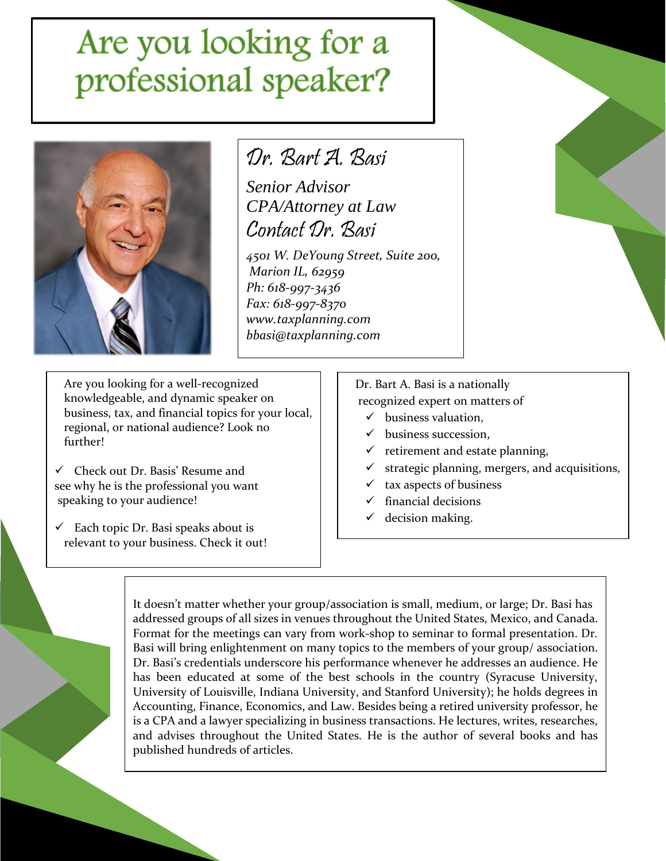# Are you looking for a<br>professional speaker?



### Dr. Bart A. Basi

*Senior Advisor CPA/Attorney at Law* Contact Dr. Basi

*4501 W. DeYoung Street, Suite 200, Marion IL, 62959 Ph: 618-997-3436 Fax: 618-997-8370 www.taxplanning.com bbasi@taxplanning.com*

Are you looking for a well-recognized knowledgeable, and dynamic speaker on business, tax, and financial topics for your local, regional, or national audience? Look no further!

✓ Check out Dr. Basis' Resume and see why he is the professional you want speaking to your audience!

 $\checkmark$  Each topic Dr. Basi speaks about is relevant to your business. Check it out!

#### Dr. Bart A. Basi is a nationally recognized expert on matters of

- $\checkmark$  business valuation,
- ✓ business succession,
- $\checkmark$  retirement and estate planning,
- strategic planning, mergers, and acquisitions,
- tax aspects of business
- $\checkmark$  financial decisions
- $\checkmark$  decision making.

It doesn't matter whether your group/association is small, medium, or large; Dr. Basi has addressed groups of all sizes in venues throughout the United States, Mexico, and Canada. Format for the meetings can vary from work-shop to seminar to formal presentation. Dr. Basi will bring enlightenment on many topics to the members of your group/ association. Dr. Basi's credentials underscore his performance whenever he addresses an audience. He has been educated at some of the best schools in the country (Syracuse University, University of Louisville, Indiana University, and Stanford University); he holds degrees in Accounting, Finance, Economics, and Law. Besides being a retired university professor, he is a CPA and a lawyer specializing in business transactions. He lectures, writes, researches, and advises throughout the United States. He is the author of several books and has published hundreds of articles.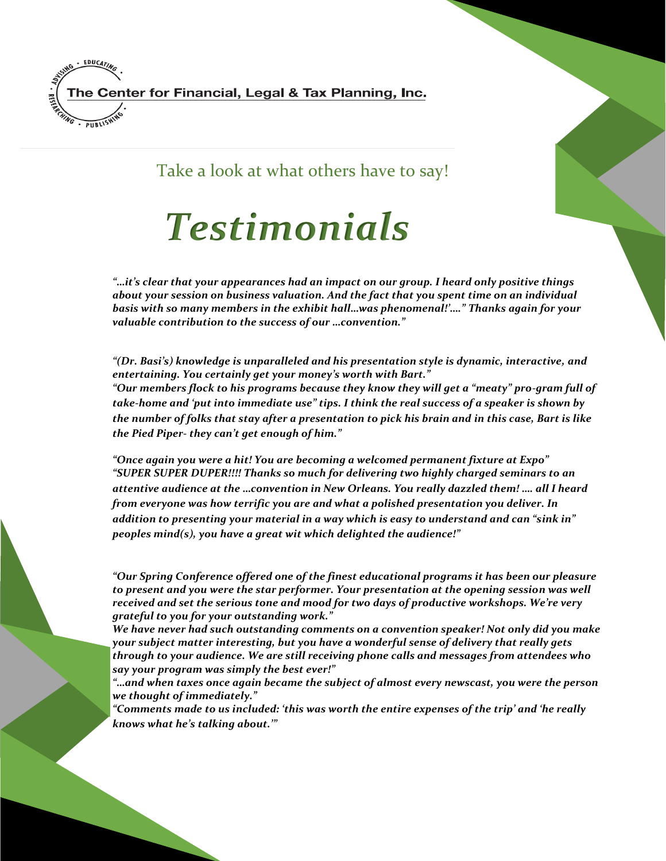

Take a look at what others have to say!

## *Testimonials*

*"…it's clear that your appearances had an impact on our group. I heard only positive things about your session on business valuation. And the fact that you spent time on an individual basis with so many members in the exhibit hall…was phenomenal!'…." Thanks again for your valuable contribution to the success of our …convention."*

*"(Dr. Basi's) knowledge is unparalleled and his presentation style is dynamic, interactive, and entertaining. You certainly get your money's worth with Bart."* 

*"Our members flock to his programs because they know they will get a "meaty" pro-gram full of take-home and 'put into immediate use" tips. I think the real success of a speaker is shown by the number of folks that stay after a presentation to pick his brain and in this case, Bart is like the Pied Piper- they can't get enough of him."*

*"Once again you were a hit! You are becoming a welcomed permanent fixture at Expo" "SUPER SUPER DUPER!!!! Thanks so much for delivering two highly charged seminars to an attentive audience at the …convention in New Orleans. You really dazzled them! …. all I heard from everyone was how terrific you are and what a polished presentation you deliver. In addition to presenting your material in a way which is easy to understand and can "sink in" peoples mind(s), you have a great wit which delighted the audience!"*

*"Our Spring Conference offered one of the finest educational programs it has been our pleasure to present and you were the star performer. Your presentation at the opening session was well received and set the serious tone and mood for two days of productive workshops. We're very grateful to you for your outstanding work."* 

*We have never had such outstanding comments on a convention speaker! Not only did you make your subject matter interesting, but you have a wonderful sense of delivery that really gets through to your audience. We are still receiving phone calls and messages from attendees who say your program was simply the best ever!"* 

*"…and when taxes once again became the subject of almost every newscast, you were the person we thought of immediately."* 

*"Comments made to us included: 'this was worth the entire expenses of the trip' and 'he really knows what he's talking about.'"*